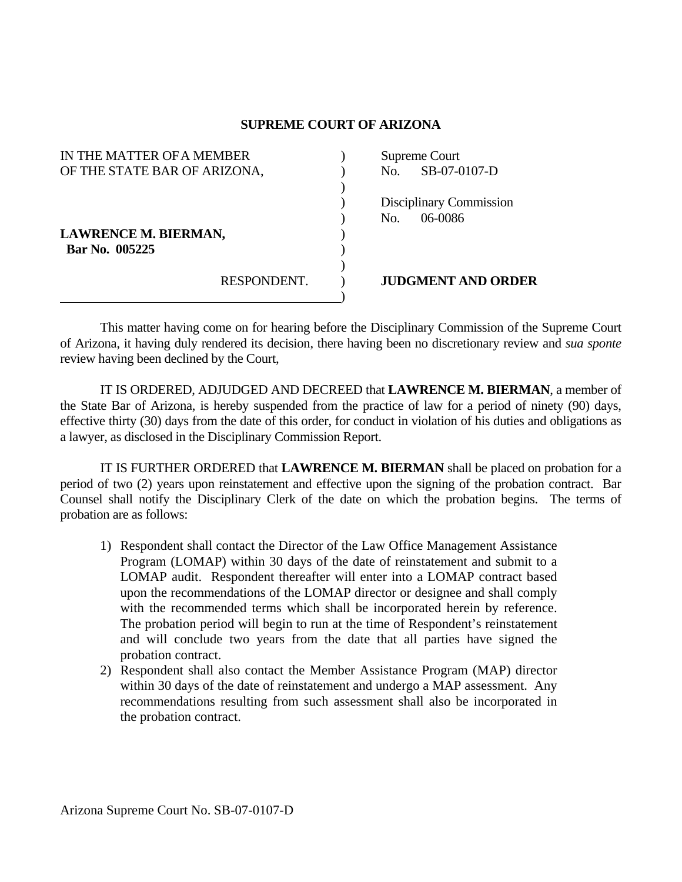## **SUPREME COURT OF ARIZONA**

| IN THE MATTER OF A MEMBER    |             |  | Supreme Court |                                |
|------------------------------|-------------|--|---------------|--------------------------------|
| OF THE STATE BAR OF ARIZONA, |             |  | No.           | SB-07-0107-D                   |
|                              |             |  |               |                                |
|                              |             |  |               | <b>Disciplinary Commission</b> |
|                              |             |  | No.           | 06-0086                        |
| <b>LAWRENCE M. BIERMAN,</b>  |             |  |               |                                |
| Bar No. 005225               |             |  |               |                                |
|                              |             |  |               |                                |
|                              | RESPONDENT. |  |               | <b>JUDGMENT AND ORDER</b>      |
|                              |             |  |               |                                |

 This matter having come on for hearing before the Disciplinary Commission of the Supreme Court of Arizona, it having duly rendered its decision, there having been no discretionary review and *sua sponte* review having been declined by the Court,

 IT IS ORDERED, ADJUDGED AND DECREED that **LAWRENCE M. BIERMAN**, a member of the State Bar of Arizona, is hereby suspended from the practice of law for a period of ninety (90) days, effective thirty (30) days from the date of this order, for conduct in violation of his duties and obligations as a lawyer, as disclosed in the Disciplinary Commission Report.

 IT IS FURTHER ORDERED that **LAWRENCE M. BIERMAN** shall be placed on probation for a period of two (2) years upon reinstatement and effective upon the signing of the probation contract. Bar Counsel shall notify the Disciplinary Clerk of the date on which the probation begins. The terms of probation are as follows:

- 1) Respondent shall contact the Director of the Law Office Management Assistance Program (LOMAP) within 30 days of the date of reinstatement and submit to a LOMAP audit. Respondent thereafter will enter into a LOMAP contract based upon the recommendations of the LOMAP director or designee and shall comply with the recommended terms which shall be incorporated herein by reference. The probation period will begin to run at the time of Respondent's reinstatement and will conclude two years from the date that all parties have signed the probation contract.
- 2) Respondent shall also contact the Member Assistance Program (MAP) director within 30 days of the date of reinstatement and undergo a MAP assessment. Any recommendations resulting from such assessment shall also be incorporated in the probation contract.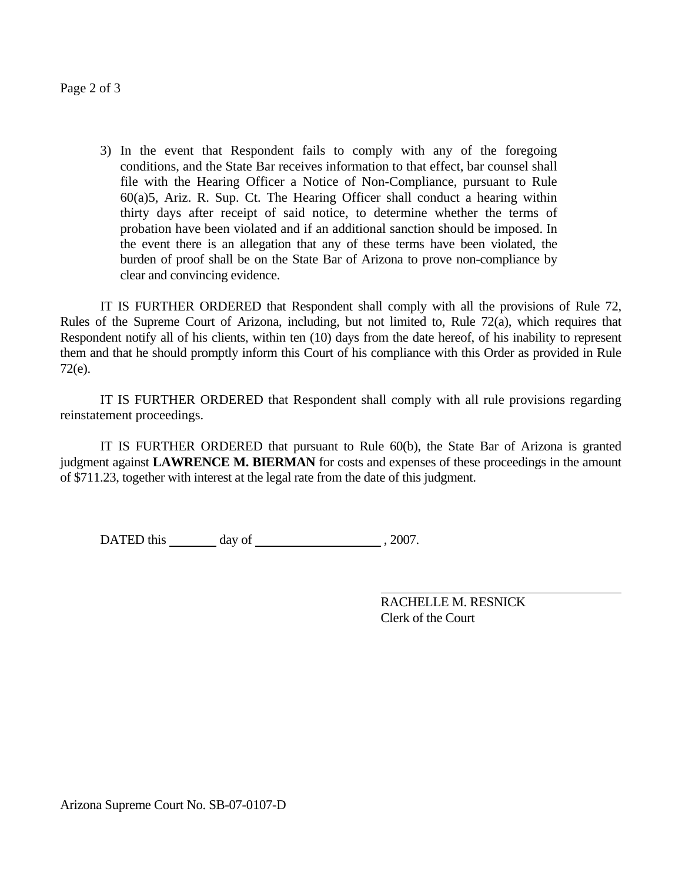Page 2 of 3

3) In the event that Respondent fails to comply with any of the foregoing conditions, and the State Bar receives information to that effect, bar counsel shall file with the Hearing Officer a Notice of Non-Compliance, pursuant to Rule  $60(a)$ 5, Ariz. R. Sup. Ct. The Hearing Officer shall conduct a hearing within thirty days after receipt of said notice, to determine whether the terms of probation have been violated and if an additional sanction should be imposed. In the event there is an allegation that any of these terms have been violated, the burden of proof shall be on the State Bar of Arizona to prove non-compliance by clear and convincing evidence.

 IT IS FURTHER ORDERED that Respondent shall comply with all the provisions of Rule 72, Rules of the Supreme Court of Arizona, including, but not limited to, Rule 72(a), which requires that Respondent notify all of his clients, within ten (10) days from the date hereof, of his inability to represent them and that he should promptly inform this Court of his compliance with this Order as provided in Rule 72(e).

 IT IS FURTHER ORDERED that Respondent shall comply with all rule provisions regarding reinstatement proceedings.

 IT IS FURTHER ORDERED that pursuant to Rule 60(b), the State Bar of Arizona is granted judgment against **LAWRENCE M. BIERMAN** for costs and expenses of these proceedings in the amount of \$711.23, together with interest at the legal rate from the date of this judgment.

DATED this day of . 2007.

 RACHELLE M. RESNICK Clerk of the Court

Arizona Supreme Court No. SB-07-0107-D